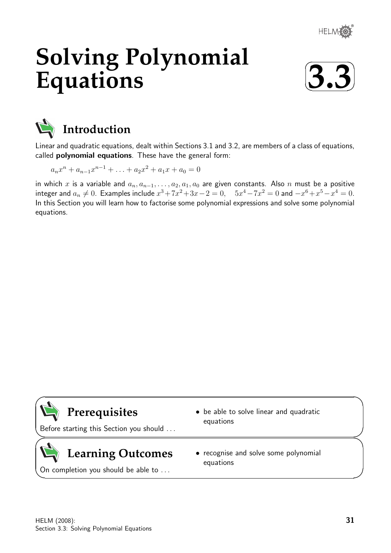

# **Solving Polynomial Equations**





Linear and quadratic equations, dealt within Sections 3.1 and 3.2, are members of a class of equations, called polynomial equations. These have the general form:

 $a_n x^n + a_{n-1} x^{n-1} + \ldots + a_2 x^2 + a_1 x + a_0 = 0$ 

in which x is a variable and  $a_n, a_{n-1}, \ldots, a_2, a_1, a_0$  are given constants. Also n must be a positive integer and  $a_n \neq 0$ . Examples include  $x^3 + 7x^2 + 3x - 2 = 0$ ,  $5x^4 - 7x^2 = 0$  and  $-x^6 + x^5 - x^4 = 0$ . In this Section you will learn how to factorise some polynomial expressions and solve some polynomial equations.



 $\overline{\phantom{0}}$ 

 $\searrow$ 

 $\geq$ 

 $\overline{\phantom{0}}$ 

**Prerequisites**

Before starting this Section you should . . .

# **Learning Outcomes**

On completion you should be able to ...

- be able to solve linear and quadratic equations
- recognise and solve some polynomial equations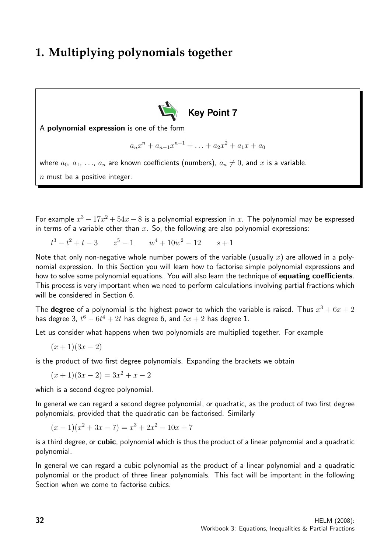### **1. Multiplying polynomials together**



A polynomial expression is one of the form

$$
a_n x^n + a_{n-1} x^{n-1} + \ldots + a_2 x^2 + a_1 x + a_0
$$

where  $a_0, a_1, \ldots, a_n$  are known coefficients (numbers),  $a_n \neq 0$ , and x is a variable.  $n$  must be a positive integer.

For example  $x^3 - 17x^2 + 54x - 8$  is a polynomial expression in x. The polynomial may be expressed in terms of a variable other than x. So, the following are also polynomial expressions:

 $t^3 - t^2 + t - 3$   $z^5 - 1$   $w^4 + 10w^2 - 12$   $s + 1$ 

Note that only non-negative whole number powers of the variable (usually x) are allowed in a polynomial expression. In this Section you will learn how to factorise simple polynomial expressions and how to solve some polynomial equations. You will also learn the technique of equating coefficients. This process is very important when we need to perform calculations involving partial fractions which will be considered in Section 6.

The **degree** of a polynomial is the highest power to which the variable is raised. Thus  $x^3 + 6x + 2$ has degree 3,  $t^6 - 6t^4 + 2t$  has degree 6, and  $5x + 2$  has degree 1.

Let us consider what happens when two polynomials are multiplied together. For example

$$
(x+1)(3x-2)
$$

is the product of two first degree polynomials. Expanding the brackets we obtain

 $(x+1)(3x-2) = 3x^2 + x - 2$ 

which is a second degree polynomial.

In general we can regard a second degree polynomial, or quadratic, as the product of two first degree polynomials, provided that the quadratic can be factorised. Similarly

$$
(x-1)(x2+3x-7) = x3+2x2-10x+7
$$

is a third degree, or cubic, polynomial which is thus the product of a linear polynomial and a quadratic polynomial.

In general we can regard a cubic polynomial as the product of a linear polynomial and a quadratic polynomial or the product of three linear polynomials. This fact will be important in the following Section when we come to factorise cubics.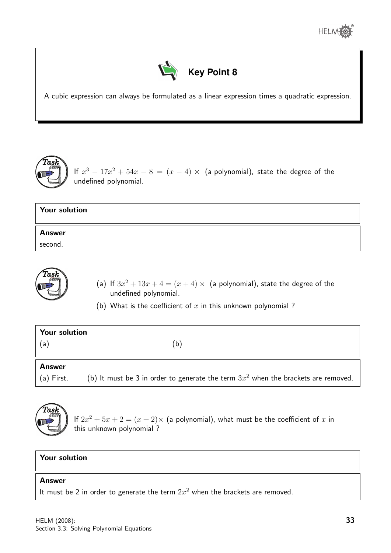



A cubic expression can always be formulated as a linear expression times a quadratic expression.



If  $x^3 - 17x^2 + 54x - 8 = (x - 4) \times$  (a polynomial), state the degree of the undefined polynomial.

## Your solution Answer second.



- (a) If  $3x^2 + 13x + 4 = (x + 4) \times$  (a polynomial), state the degree of the undefined polynomial.
- (b) What is the coefficient of  $x$  in this unknown polynomial?

| Your solution |   |  |  |  |  |
|---------------|---|--|--|--|--|
| (a)           | b |  |  |  |  |
|               |   |  |  |  |  |
| <b>Answer</b> |   |  |  |  |  |

(a) First. (b) It must be 3 in order to generate the term  $3x^2$  when the brackets are removed.



If  $2x^2 + 5x + 2 = (x + 2) \times$  (a polynomial), what must be the coefficient of x in this unknown polynomial ?

### Your solution

#### Answer

It must be 2 in order to generate the term  $2x^2$  when the brackets are removed.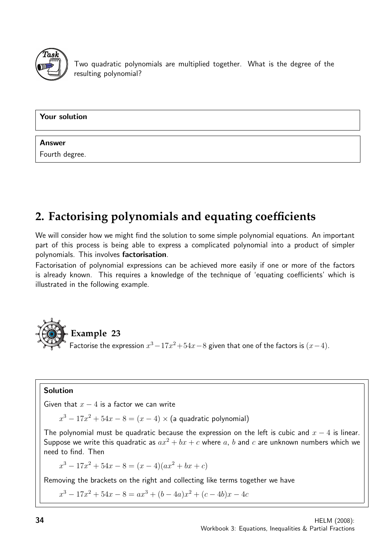

Two quadratic polynomials are multiplied together. What is the degree of the resulting polynomial?

Your solution

### Answer

Fourth degree.

# **2. Factorising polynomials and equating coefficients**

We will consider how we might find the solution to some simple polynomial equations. An important part of this process is being able to express a complicated polynomial into a product of simpler polynomials. This involves factorisation.

Factorisation of polynomial expressions can be achieved more easily if one or more of the factors is already known. This requires a knowledge of the technique of 'equating coefficients' which is illustrated in the following example.



### Solution

Given that  $x - 4$  is a factor we can write

 $x^3 - 17x^2 + 54x - 8 = (x - 4) \times$  (a quadratic polynomial)

The polynomial must be quadratic because the expression on the left is cubic and  $x - 4$  is linear. Suppose we write this quadratic as  $ax^2 + bx + c$  where a, b and c are unknown numbers which we need to find. Then

 $x^3 - 17x^2 + 54x - 8 = (x - 4)(ax^2 + bx + c)$ 

Removing the brackets on the right and collecting like terms together we have

 $x^3 - 17x^2 + 54x - 8 = ax^3 + (b - 4a)x^2 + (c - 4b)x - 4c$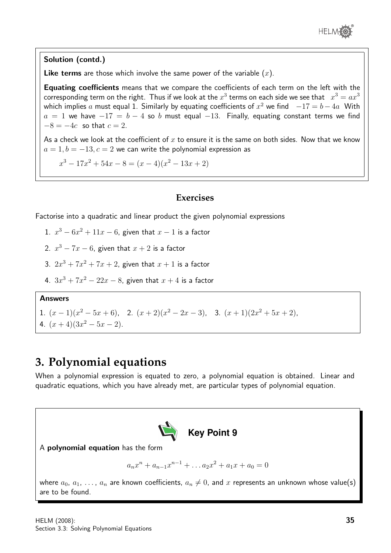

### Solution (contd.)

**Like terms** are those which involve the same power of the variable  $(x)$ .

Equating coefficients means that we compare the coefficients of each term on the left with the corresponding term on the right. Thus if we look at the  $x^3$  terms on each side we see that  $\;\;x^3=ax^3$ which implies  $a$  must equal 1. Similarly by equating coefficients of  $x^2$  we find  $\;\;$   $-17 = b - 4a \;\;$  With  $a = 1$  we have  $-17 = b - 4$  so b must equal  $-13$ . Finally, equating constant terms we find  $-8 = -4c$  so that  $c = 2$ .

As a check we look at the coefficient of  $x$  to ensure it is the same on both sides. Now that we know  $a = 1, b = -13, c = 2$  we can write the polynomial expression as

 $x^3 - 17x^2 + 54x - 8 = (x - 4)(x^2 - 13x + 2)$ 

### **Exercises**

Factorise into a quadratic and linear product the given polynomial expressions

- 1.  $x^3 6x^2 + 11x 6$ , given that  $x 1$  is a factor
- 2.  $x^3 7x 6$ , given that  $x + 2$  is a factor
- 3.  $2x^3 + 7x^2 + 7x + 2$ , given that  $x + 1$  is a factor
- 4.  $3x^3 + 7x^2 22x 8$ , given that  $x + 4$  is a factor

### Answers

1.  $(x-1)(x^2-5x+6)$ , 2.  $(x+2)(x^2-2x-3)$ , 3.  $(x+1)(2x^2+5x+2)$ ,

4.  $(x+4)(3x^2-5x-2)$ .

### **3. Polynomial equations**

When a polynomial expression is equated to zero, a polynomial equation is obtained. Linear and quadratic equations, which you have already met, are particular types of polynomial equation.



A polynomial equation has the form

 $a_nx^n + a_{n-1}x^{n-1} + \ldots a_2x^2 + a_1x + a_0 = 0$ 

where  $a_0, a_1, \ldots, a_n$  are known coefficients,  $a_n \neq 0$ , and x represents an unknown whose value(s) are to be found.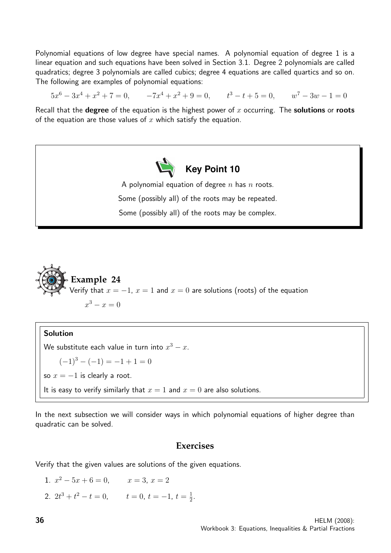Polynomial equations of low degree have special names. A polynomial equation of degree 1 is a linear equation and such equations have been solved in Section 3.1. Degree 2 polynomials are called quadratics; degree 3 polynomials are called cubics; degree 4 equations are called quartics and so on. The following are examples of polynomial equations:

 $5x^6 - 3x^4 + x^2 + 7 = 0$ ,  $-7x^4 + x^2 + 9 = 0$ ,  $t^3 - t + 5 = 0$ ,  $w^7 - 3w - 1 = 0$ 

Recall that the **degree** of the equation is the highest power of x occurring. The **solutions** or **roots** of the equation are those values of  $x$  which satisfy the equation.



A polynomial equation of degree  $n$  has  $n$  roots. Some (possibly all) of the roots may be repeated. Some (possibly all) of the roots may be complex.



#### Solution

We substitute each value in turn into  $x^3-x$ .  $(-1)^3 - (-1) = -1 + 1 = 0$ so  $x = -1$  is clearly a root. It is easy to verify similarly that  $x = 1$  and  $x = 0$  are also solutions.

In the next subsection we will consider ways in which polynomial equations of higher degree than quadratic can be solved.

### **Exercises**

Verify that the given values are solutions of the given equations.

1.  $x^2 - 5x + 6 = 0$ ,  $x = 3$ ,  $x = 2$ 2.  $2t^3 + t^2 - t = 0$ ,  $t = 0, t = -1, t = \frac{1}{2}$  $\frac{1}{2}$ .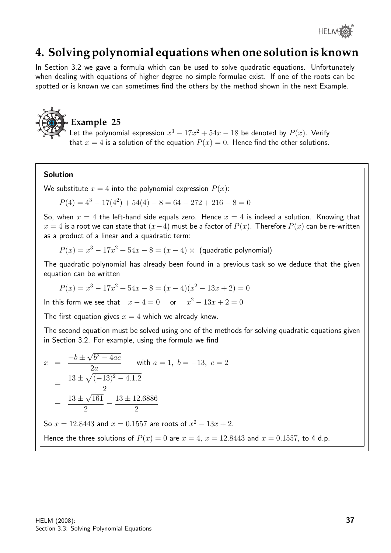

### **4. Solving polynomial equations when one solution is known**

In Section 3.2 we gave a formula which can be used to solve quadratic equations. Unfortunately when dealing with equations of higher degree no simple formulae exist. If one of the roots can be spotted or is known we can sometimes find the others by the method shown in the next Example.



### **Example 25**

Let the polynomial expression  $x^3 - 17x^2 + 54x - 18$  be denoted by  $P(x)$ . Verify that  $x = 4$  is a solution of the equation  $P(x) = 0$ . Hence find the other solutions.

### Solution

We substitute  $x = 4$  into the polynomial expression  $P(x)$ :

 $P(4) = 4^3 - 17(4^2) + 54(4) - 8 = 64 - 272 + 216 - 8 = 0$ 

So, when  $x = 4$  the left-hand side equals zero. Hence  $x = 4$  is indeed a solution. Knowing that  $x = 4$  is a root we can state that  $(x-4)$  must be a factor of  $P(x)$ . Therefore  $P(x)$  can be re-written as a product of a linear and a quadratic term:

$$
P(x) = x3 - 17x2 + 54x - 8 = (x - 4) \times
$$
 (quadratic polynomial)

The quadratic polynomial has already been found in a previous task so we deduce that the given equation can be written

$$
P(x) = x^3 - 17x^2 + 54x - 8 = (x - 4)(x^2 - 13x + 2) = 0
$$

In this form we see that  $x - 4 = 0$  or  $x^2 - 13x + 2 = 0$ 

The first equation gives  $x = 4$  which we already knew.

The second equation must be solved using one of the methods for solving quadratic equations given in Section 3.2. For example, using the formula we find

$$
x = \frac{-b \pm \sqrt{b^2 - 4ac}}{2a}
$$
 with  $a = 1$ ,  $b = -13$ ,  $c = 2$   
\n
$$
= \frac{13 \pm \sqrt{(-13)^2 - 4.1.2}}{2}
$$
\n
$$
= \frac{13 \pm \sqrt{161}}{2} = \frac{13 \pm 12.6886}{2}
$$
\nSo  $x = 12.8443$  and  $x = 0.1557$  are roots of  $x^2 - 13x + 2$ .  
\nHence the three solutions of  $P(x) = 0$  are  $x = 4$ ,  $x = 12.8443$  and  $x = 0.1557$ , to 4 d.p.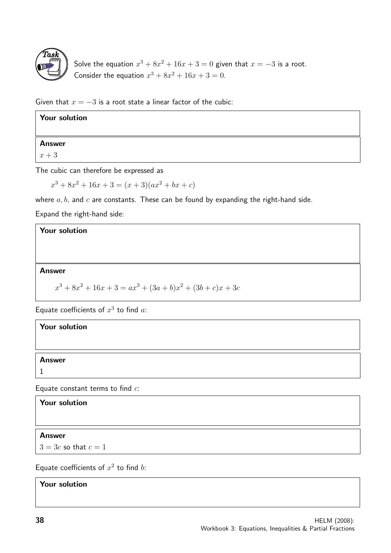

Solve the equation  $x^3 + 8x^2 + 16x + 3 = 0$  given that  $x = -3$  is a root. Consider the equation  $x^3 + 8x^2 + 16x + 3 = 0$ .

Given that  $x = -3$  is a root state a linear factor of the cubic:

| <b>Your solution</b> |  |
|----------------------|--|
| Answer               |  |
| $x+3$                |  |

The cubic can therefore be expressed as

 $x^3 + 8x^2 + 16x + 3 = (x + 3)(ax^2 + bx + c)$ 

where  $a, b$ , and  $c$  are constants. These can be found by expanding the right-hand side.

Expand the right-hand side:

### Your solution

### Answer

$$
x^{3} + 8x^{2} + 16x + 3 = ax^{3} + (3a + b)x^{2} + (3b + c)x + 3c
$$

Equate coefficients of  $x^3$  to find a:

| Your solution |  |  |
|---------------|--|--|
|               |  |  |
| <b>Answer</b> |  |  |
|               |  |  |
|               |  |  |

Equate constant terms to find  $c$ :

Your solution

Answer

 $3 = 3c$  so that  $c = 1$ 

Equate coefficients of  $x^2$  to find b:

Your solution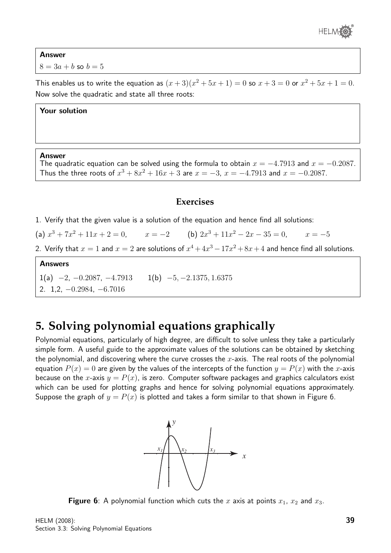

Answer  $8 = 3a + b$  so  $b = 5$ 

This enables us to write the equation as  $(x+3)(x^2+5x+1) = 0$  so  $x+3 = 0$  or  $x^2+5x+1 = 0$ . Now solve the quadratic and state all three roots:

#### Your solution

#### Answer

The quadratic equation can be solved using the formula to obtain  $x = -4.7913$  and  $x = -0.2087$ . Thus the three roots of  $x^3 + 8x^2 + 16x + 3$  are  $x = -3$ ,  $x = -4.7913$  and  $x = -0.2087$ .

### **Exercises**

- 1. Verify that the given value is a solution of the equation and hence find all solutions:
- (a)  $x^3 + 7x^2 + 11x + 2 = 0$ ,  $x = -2$  (b)  $2x^3 + 11x^2 2x 35 = 0$ ,  $x = -5$
- 2. Verify that  $x = 1$  and  $x = 2$  are solutions of  $x^4 + 4x^3 17x^2 + 8x + 4$  and hence find all solutions.

### Answers

1(a)  $-2$ ,  $-0.2087$ ,  $-4.7913$  1(b)  $-5$ ,  $-2.1375$ , 1.6375 2. 1,2, −0.2984, −6.7016

### **5. Solving polynomial equations graphically**

Polynomial equations, particularly of high degree, are difficult to solve unless they take a particularly simple form. A useful guide to the approximate values of the solutions can be obtained by sketching the polynomial, and discovering where the curve crosses the  $x$ -axis. The real roots of the polynomial equation  $P(x) = 0$  are given by the values of the intercepts of the function  $y = P(x)$  with the x-axis because on the x-axis  $y = P(x)$ , is zero. Computer software packages and graphics calculators exist which can be used for plotting graphs and hence for solving polynomial equations approximately. Suppose the graph of  $y = P(x)$  is plotted and takes a form similar to that shown in Figure 6.



Figure 6: A polynomial function which cuts the x axis at points  $x_1$ ,  $x_2$  and  $x_3$ .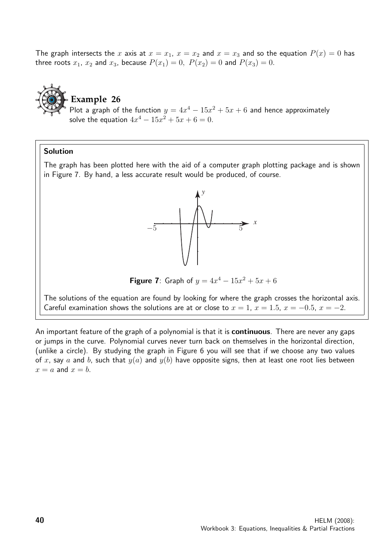The graph intersects the x axis at  $x = x_1$ ,  $x = x_2$  and  $x = x_3$  and so the equation  $P(x) = 0$  has three roots  $x_1$ ,  $x_2$  and  $x_3$ , because  $P(x_1) = 0$ ,  $P(x_2) = 0$  and  $P(x_3) = 0$ .

**Example 26** Plot a graph of the function  $y = 4x^4 - 15x^2 + 5x + 6$  and hence approximately solve the equation  $4x^4 - 15x^2 + 5x + 6 = 0$ .

#### Solution

The graph has been plotted here with the aid of a computer graph plotting package and is shown in Figure 7. By hand, a less accurate result would be produced, of course.



**Figure 7**: Graph of  $y = 4x^4 - 15x^2 + 5x + 6$ 

The solutions of the equation are found by looking for where the graph crosses the horizontal axis. Careful examination shows the solutions are at or close to  $x = 1$ ,  $x = 1.5$ ,  $x = -0.5$ ,  $x = -2$ .

An important feature of the graph of a polynomial is that it is **continuous**. There are never any gaps or jumps in the curve. Polynomial curves never turn back on themselves in the horizontal direction, (unlike a circle). By studying the graph in Figure 6 you will see that if we choose any two values of x, say a and b, such that  $y(a)$  and  $y(b)$  have opposite signs, then at least one root lies between  $x = a$  and  $x = b$ .